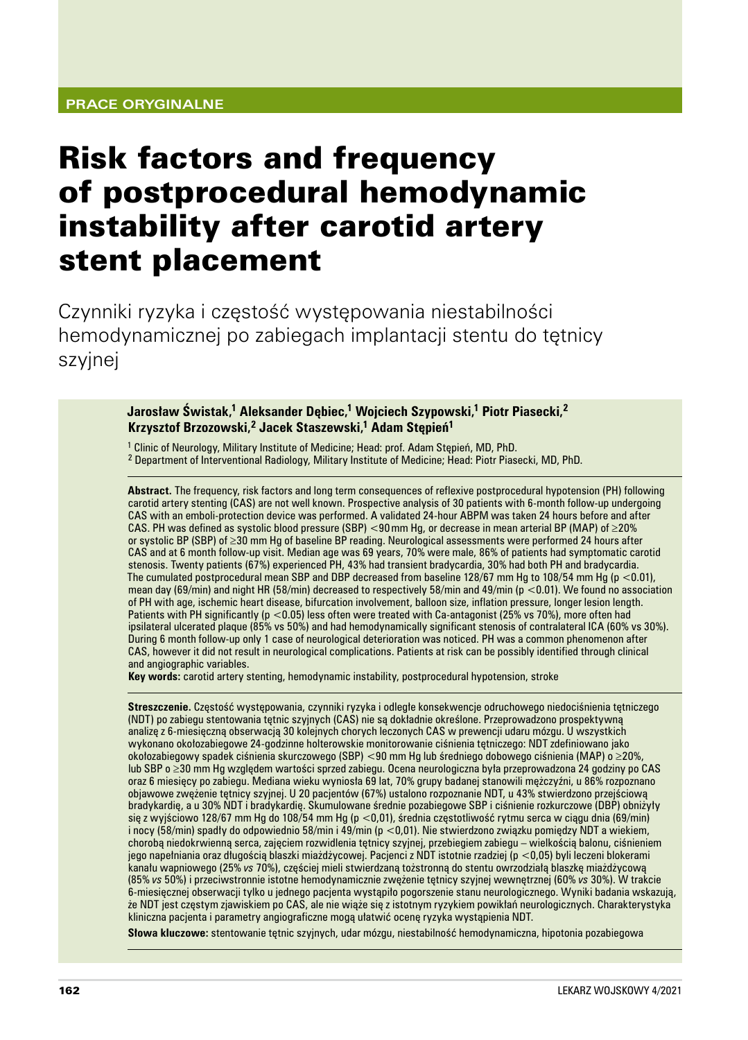# Risk factors and frequency of postprocedural hemodynamic instability after carotid artery stent placement

Czynniki ryzyka i częstość występowania niestabilności hemodynamicznej po zabiegach implantacji stentu do tętnicy szyjnej

> **Jarosław Świstak,1 Aleksander Dębiec,1 Wojciech Szypowski,1 Piotr Piasecki,<sup>2</sup> Krzysztof Brzozowski,2 Jacek Staszewski,1 Adam Stępień<sup>1</sup>**

<sup>1</sup> Clinic of Neurology, Military Institute of Medicine; Head: prof. Adam Stępień, MD, PhD. <sup>2</sup> Department of Interventional Radiology, Military Institute of Medicine; Head: Piotr Piasecki, MD, PhD.

**Abstract.** The frequency, risk factors and long term consequences of reflexive postprocedural hypotension (PH) following carotid artery stenting (CAS) are not well known. Prospective analysis of 30 patients with 6-month follow-up undergoing CAS with an emboli-protection device was performed. A validated 24-hour ABPM was taken 24 hours before and after CAS. PH was defined as systolic blood pressure (SBP) <90 mm Hg, or decrease in mean arterial BP (MAP) of ≥20% or systolic BP (SBP) of ≥30 mm Hg of baseline BP reading. Neurological assessments were performed 24 hours after CAS and at 6 month follow-up visit. Median age was 69 years, 70% were male, 86% of patients had symptomatic carotid stenosis. Twenty patients (67%) experienced PH, 43% had transient bradycardia, 30% had both PH and bradycardia. The cumulated postprocedural mean SBP and DBP decreased from baseline 128/67 mm Hg to 108/54 mm Hg ( $p < 0.01$ ), mean day (69/min) and night HR (58/min) decreased to respectively 58/min and 49/min (p <0.01). We found no association of PH with age, ischemic heart disease, bifurcation involvement, balloon size, inflation pressure, longer lesion length. Patients with PH significantly (p <0.05) less often were treated with Ca-antagonist (25% vs 70%), more often had ipsilateral ulcerated plaque (85% vs 50%) and had hemodynamically significant stenosis of contralateral ICA (60% vs 30%). During 6 month follow-up only 1 case of neurological deterioration was noticed. PH was a common phenomenon after CAS, however it did not result in neurological complications. Patients at risk can be possibly identified through clinical and angiographic variables.

**Key words:** carotid artery stenting, hemodynamic instability, postprocedural hypotension, stroke

**Streszczenie.** Częstość występowania, czynniki ryzyka i odległe konsekwencje odruchowego niedociśnienia tętniczego (NDT) po zabiegu stentowania tętnic szyjnych (CAS) nie są dokładnie określone. Przeprowadzono prospektywną analizę z 6-miesięczną obserwacją 30 kolejnych chorych leczonych CAS w prewencji udaru mózgu. U wszystkich wykonano okołozabiegowe 24-godzinne holterowskie monitorowanie ciśnienia tętniczego: NDT zdefiniowano jako okołozabiegowy spadek ciśnienia skurczowego (SBP) <90 mm Hg lub średniego dobowego ciśnienia (MAP) o ≥20%, lub SBP o ≥30 mm Hg względem wartości sprzed zabiegu. Ocena neurologiczna była przeprowadzona 24 godziny po CAS oraz 6 miesięcy po zabiegu. Mediana wieku wyniosła 69 lat, 70% grupy badanej stanowili mężczyźni, u 86% rozpoznano objawowe zwężenie tętnicy szyjnej. U 20 pacjentów (67%) ustalono rozpoznanie NDT, u 43% stwierdzono przejściową bradykardię, a u 30% NDT i bradykardię. Skumulowane średnie pozabiegowe SBP i ciśnienie rozkurczowe (DBP) obniżyły się z wyjściowo 128/67 mm Hg do 108/54 mm Hg (p <0,01), średnia częstotliwość rytmu serca w ciągu dnia (69/min) i nocy (58/min) spadły do odpowiednio 58/min i 49/min (p <0,01). Nie stwierdzono związku pomiędzy NDT a wiekiem, chorobą niedokrwienną serca, zajęciem rozwidlenia tętnicy szyjnej, przebiegiem zabiegu – wielkością balonu, ciśnieniem jego napełniania oraz długością blaszki miażdżycowej. Pacjenci z NDT istotnie rzadziej (p <0,05) byli leczeni blokerami kanału wapniowego (25% *vs* 70%), częściej mieli stwierdzaną tożstronną do stentu owrzodziałą blaszkę miażdżycową (85% *vs* 50%) i przeciwstronnie istotne hemodynamicznie zwężenie tętnicy szyjnej wewnętrznej (60% *vs* 30%). W trakcie 6-miesięcznej obserwacji tylko u jednego pacjenta wystąpiło pogorszenie stanu neurologicznego. Wyniki badania wskazują, że NDT jest częstym zjawiskiem po CAS, ale nie wiąże się z istotnym ryzykiem powikłań neurologicznych. Charakterystyka kliniczna pacjenta i parametry angiograficzne mogą ułatwić ocenę ryzyka wystąpienia NDT.

**Słowa kluczowe:** stentowanie tętnic szyjnych, udar mózgu, niestabilność hemodynamiczna, hipotonia pozabiegowa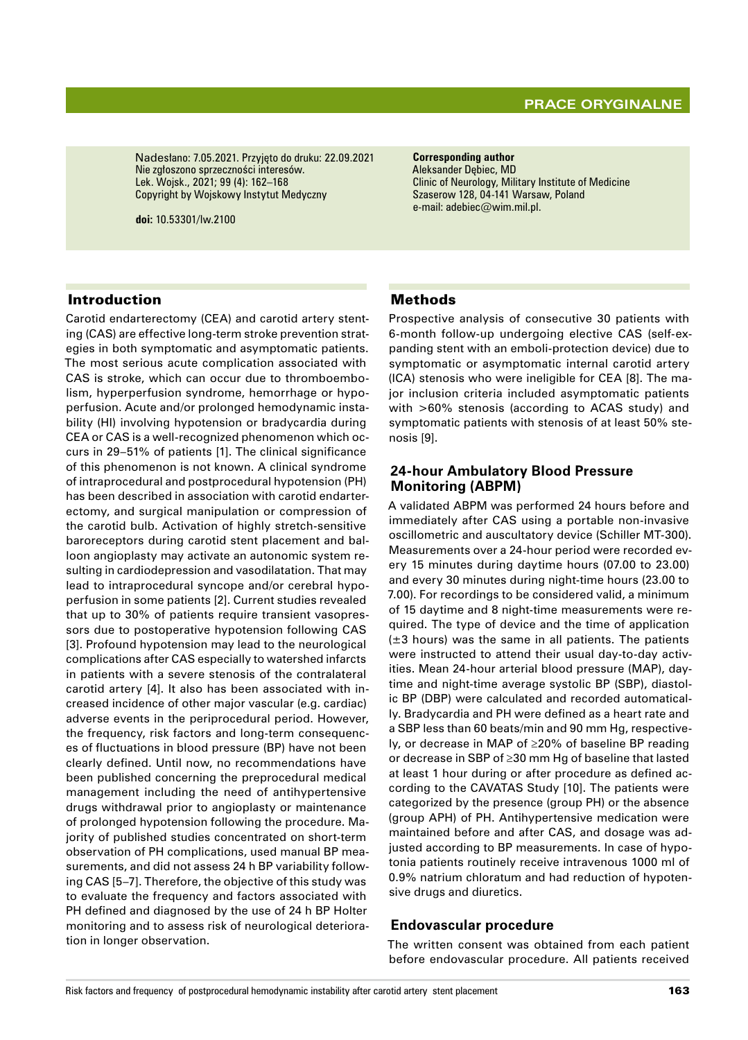Nadesłano: 7.05.2021. Przyjęto do druku: 22.09.2021 Nie zgłoszono sprzeczności interesów. Lek. Wojsk., 2021; 99 (4): 162–168 Copyright by Wojskowy Instytut Medyczny

**doi:** 10.53301/lw.2100

**Corresponding author** Aleksander Dębiec, MD Clinic of Neurology, Military Institute of Medicine Szaserow 128, 04-141 Warsaw, Poland e-mail: adebiec@wim.mil.pl.

## Introduction

Carotid endarterectomy (CEA) and carotid artery stent‑ ing (CAS) are effective long-term stroke prevention strategies in both symptomatic and asymptomatic patients. The most serious acute complication associated with CAS is stroke, which can occur due to thromboembolism, hyperperfusion syndrome, hemorrhage or hypoperfusion. Acute and/or prolonged hemodynamic instability (HI) involving hypotension or bradycardia during CEA or CAS is a well-recognized phenomenon which occurs in 29–51% of patients [1]. The clinical significance of this phenomenon is not known. A clinical syndrome of intraprocedural and postprocedural hypotension (PH) has been described in association with carotid endarterectomy, and surgical manipulation or compression of the carotid bulb. Activation of highly stretch‑sensitive baroreceptors during carotid stent placement and balloon angioplasty may activate an autonomic system resulting in cardiodepression and vasodilatation. That may lead to intraprocedural syncope and/or cerebral hypoperfusion in some patients [2]. Current studies revealed that up to 30% of patients require transient vasopressors due to postoperative hypotension following CAS [3]. Profound hypotension may lead to the neurological complications after CAS especially to watershed infarcts in patients with a severe stenosis of the contralateral carotid artery [4]. It also has been associated with increased incidence of other major vascular (e.g. cardiac) adverse events in the periprocedural period. However, the frequency, risk factors and long-term consequences of fluctuations in blood pressure (BP) have not been clearly defined. Until now, no recommendations have been published concerning the preprocedural medical management including the need of antihypertensive drugs withdrawal prior to angioplasty or maintenance of prolonged hypotension following the procedure. Majority of published studies concentrated on short-term observation of PH complications, used manual BP measurements, and did not assess 24 h BP variability following CAS [5–7]. Therefore, the objective of this study was to evaluate the frequency and factors associated with PH defined and diagnosed by the use of 24 h BP Holter monitoring and to assess risk of neurological deterioration in longer observation.

#### Methods

Prospective analysis of consecutive 30 patients with 6-month follow-up undergoing elective CAS (self-expanding stent with an emboli‑protection device) due to symptomatic or asymptomatic internal carotid artery (ICA) stenosis who were ineligible for CEA [8]. The major inclusion criteria included asymptomatic patients with  $>60\%$  stenosis (according to ACAS study) and symptomatic patients with stenosis of at least 50% stenosis [9].

#### **24‑hour Ambulatory Blood Pressure Monitoring (ABPM)**

A validated ABPM was performed 24 hours before and immediately after CAS using a portable non-invasive oscillometric and auscultatory device (Schiller MT‑300). Measurements over a 24-hour period were recorded every 15 minutes during daytime hours (07.00 to 23.00) and every 30 minutes during night-time hours (23.00 to 7.00). For recordings to be considered valid, a minimum of 15 daytime and 8 night-time measurements were required. The type of device and the time of application  $(\pm 3$  hours) was the same in all patients. The patients were instructed to attend their usual day-to-day activities. Mean 24-hour arterial blood pressure (MAP), daytime and night-time average systolic BP (SBP), diastolic BP (DBP) were calculated and recorded automatically. Bradycardia and PH were defined as a heart rate and a SBP less than 60 beats/min and 90 mm Hg, respectively, or decrease in MAP of ≥20% of baseline BP reading or decrease in SBP of ≥30 mm Hg of baseline that lasted at least 1 hour during or after procedure as defined according to the CAVATAS Study [10]. The patients were categorized by the presence (group PH) or the absence (group APH) of PH. Antihypertensive medication were maintained before and after CAS, and dosage was adjusted according to BP measurements. In case of hypotonia patients routinely receive intravenous 1000 ml of 0.9% natrium chloratum and had reduction of hypotensive drugs and diuretics.

#### **Endovascular procedure**

The written consent was obtained from each patient before endovascular procedure. All patients received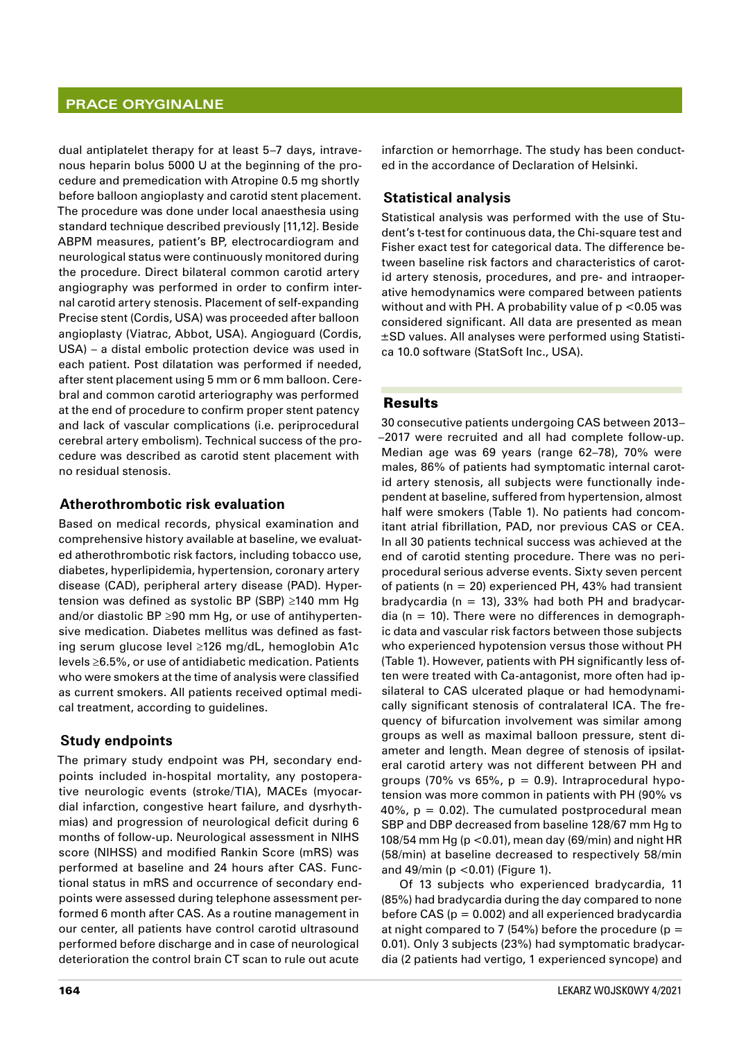dual antiplatelet therapy for at least 5-7 days, intravenous heparin bolus 5000 U at the beginning of the procedure and premedication with Atropine 0.5 mg shortly before balloon angioplasty and carotid stent placement. The procedure was done under local anaesthesia using standard technique described previously [11,12]. Beside ABPM measures, patient's BP, electrocardiogram and neurological status were continuously monitored during the procedure. Direct bilateral common carotid artery angiography was performed in order to confirm internal carotid artery stenosis. Placement of self‑expanding Precise stent (Cordis, USA) was proceeded after balloon angioplasty (Viatrac, Abbot, USA). Angioguard (Cordis, USA) – a distal embolic protection device was used in each patient. Post dilatation was performed if needed, after stent placement using 5 mm or 6 mm balloon. Cerebral and common carotid arteriography was performed at the end of procedure to confirm proper stent patency and lack of vascular complications (i.e. periprocedural cerebral artery embolism). Technical success of the procedure was described as carotid stent placement with no residual stenosis.

### **Atherothrombotic risk evaluation**

Based on medical records, physical examination and comprehensive history available at baseline, we evaluat‑ ed atherothrombotic risk factors, including tobacco use, diabetes, hyperlipidemia, hypertension, coronary artery disease (CAD), peripheral artery disease (PAD). Hypertension was defined as systolic BP (SBP) ≥140 mm Hg and/or diastolic BP  $\geq$ 90 mm Hg, or use of antihypertensive medication. Diabetes mellitus was defined as fasting serum glucose level ≥126 mg/dL, hemoglobin A1c levels ≥6.5%, or use of antidiabetic medication. Patients who were smokers at the time of analysis were classified as current smokers. All patients received optimal medical treatment, according to guidelines.

## **Study endpoints**

The primary study endpoint was PH, secondary endpoints included in-hospital mortality, any postoperative neurologic events (stroke/TIA), MACEs (myocardial infarction, congestive heart failure, and dysrhythmias) and progression of neurological deficit during 6 months of follow‑up. Neurological assessment in NIHS score (NIHSS) and modified Rankin Score (mRS) was performed at baseline and 24 hours after CAS. Functional status in mRS and occurrence of secondary end‑ points were assessed during telephone assessment per‑ formed 6 month after CAS. As a routine management in our center, all patients have control carotid ultrasound performed before discharge and in case of neurological deterioration the control brain CT scan to rule out acute

infarction or hemorrhage. The study has been conducted in the accordance of Declaration of Helsinki.

## **Statistical analysis**

Statistical analysis was performed with the use of Student's t-test for continuous data, the Chi-square test and Fisher exact test for categorical data. The difference be‑ tween baseline risk factors and characteristics of carotid artery stenosis, procedures, and pre- and intraoperative hemodynamics were compared between patients without and with PH. A probability value of  $p < 0.05$  was considered significant. All data are presented as mean ±SD values. All analyses were performed using Statisti‑ ca 10.0 software (StatSoft Inc., USA).

#### Results

30 consecutive patients undergoing CAS between 2013– –2017 were recruited and all had complete follow‑up. Median age was 69 years (range 62–78), 70% were males, 86% of patients had symptomatic internal carotid artery stenosis, all subjects were functionally independent at baseline, suffered from hypertension, almost half were smokers (Table 1). No patients had concomitant atrial fibrillation, PAD, nor previous CAS or CEA. In all 30 patients technical success was achieved at the end of carotid stenting procedure. There was no periprocedural serious adverse events. Sixty seven percent of patients ( $n = 20$ ) experienced PH, 43% had transient bradycardia ( $n = 13$ ), 33% had both PH and bradycardia ( $n = 10$ ). There were no differences in demographic data and vascular risk factors between those subjects who experienced hypotension versus those without PH (Table 1). However, patients with PH significantly less of‑ ten were treated with Ca-antagonist, more often had ipsilateral to CAS ulcerated plaque or had hemodynamically significant stenosis of contralateral ICA. The frequency of bifurcation involvement was similar among groups as well as maximal balloon pressure, stent diameter and length. Mean degree of stenosis of ipsilateral carotid artery was not different between PH and groups (70% vs 65%,  $p = 0.9$ ). Intraprocedural hypotension was more common in patients with PH (90% vs 40%,  $p = 0.02$ ). The cumulated postprocedural mean SBP and DBP decreased from baseline 128/67 mm Hg to 108/54 mm Hg (p <0.01), mean day (69/min) and night HR (58/min) at baseline decreased to respectively 58/min and 49/min (p <0.01) (Figure 1).

Of 13 subjects who experienced bradycardia, 11 (85%) had bradycardia during the day compared to none before CAS ( $p = 0.002$ ) and all experienced bradycardia at night compared to 7 (54%) before the procedure ( $p =$ 0.01). Only 3 subjects (23%) had symptomatic bradycardia (2 patients had vertigo, 1 experienced syncope) and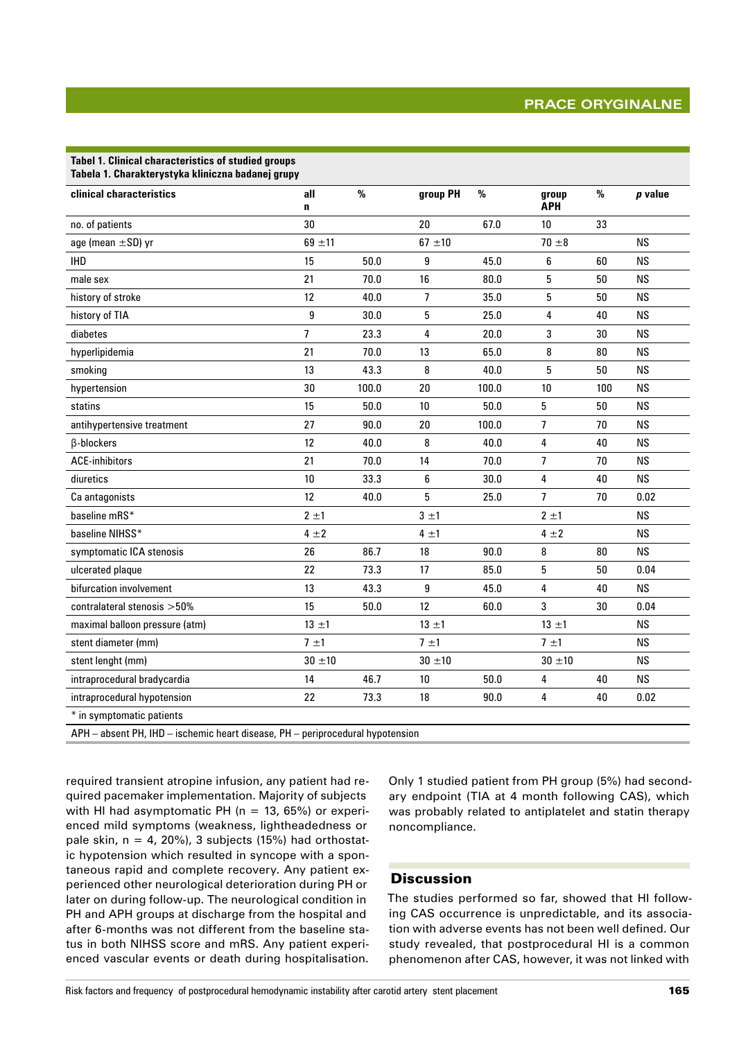| Tabel 1. Clinical characteristics of studied groups<br>Tabela 1. Charakterystyka kliniczna badanej grupy |                |       |                          |       |                     |     |           |
|----------------------------------------------------------------------------------------------------------|----------------|-------|--------------------------|-------|---------------------|-----|-----------|
| clinical characteristics                                                                                 | all<br>n       | $\%$  | group PH                 | %     | group<br><b>APH</b> | %   | $p$ value |
| no. of patients                                                                                          | 30             |       | 20                       | 67.0  | 10                  | 33  |           |
| age (mean $\pm$ SD) yr                                                                                   | $69 + 11$      |       | $67 \pm 10$              |       | $70 \pm 8$          |     | <b>NS</b> |
| <b>IHD</b>                                                                                               | 15             | 50.0  | 9                        | 45.0  | 6                   | 60  | <b>NS</b> |
| male sex                                                                                                 | 21             | 70.0  | 16                       | 80.0  | 5                   | 50  | <b>NS</b> |
| history of stroke                                                                                        | 12             | 40.0  | $\overline{\phantom{a}}$ | 35.0  | 5                   | 50  | <b>NS</b> |
| history of TIA                                                                                           | 9              | 30.0  | 5                        | 25.0  | 4                   | 40  | <b>NS</b> |
| diabetes                                                                                                 | $\overline{1}$ | 23.3  | 4                        | 20.0  | 3                   | 30  | <b>NS</b> |
| hyperlipidemia                                                                                           | 21             | 70.0  | 13                       | 65.0  | 8                   | 80  | <b>NS</b> |
| smoking                                                                                                  | 13             | 43.3  | 8                        | 40.0  | 5                   | 50  | <b>NS</b> |
| hypertension                                                                                             | 30             | 100.0 | 20                       | 100.0 | 10                  | 100 | <b>NS</b> |
| statins                                                                                                  | 15             | 50.0  | 10                       | 50.0  | 5                   | 50  | <b>NS</b> |
| antihypertensive treatment                                                                               | 27             | 90.0  | 20                       | 100.0 | $\overline{7}$      | 70  | <b>NS</b> |
| β-blockers                                                                                               | 12             | 40.0  | 8                        | 40.0  | 4                   | 40  | <b>NS</b> |
| <b>ACE-inhibitors</b>                                                                                    | 21             | 70.0  | 14                       | 70.0  | $\overline{1}$      | 70  | <b>NS</b> |
| diuretics                                                                                                | 10             | 33.3  | 6                        | 30.0  | $\overline{4}$      | 40  | <b>NS</b> |
| Ca antagonists                                                                                           | 12             | 40.0  | 5                        | 25.0  | $\overline{7}$      | 70  | 0.02      |
| baseline mRS*                                                                                            | $2 \pm 1$      |       | $3 \pm 1$                |       | $2 \pm 1$           |     | <b>NS</b> |
| baseline NIHSS*                                                                                          | 4±2            |       | 4±1                      |       | $4 \pm 2$           |     | <b>NS</b> |
| symptomatic ICA stenosis                                                                                 | 26             | 86.7  | 18                       | 90.0  | 8                   | 80  | <b>NS</b> |
| ulcerated plaque                                                                                         | 22             | 73.3  | 17                       | 85.0  | 5                   | 50  | 0.04      |
| bifurcation involvement                                                                                  | 13             | 43.3  | 9                        | 45.0  | $\overline{4}$      | 40  | <b>NS</b> |
| contralateral stenosis $>50\%$                                                                           | 15             | 50.0  | 12                       | 60.0  | 3                   | 30  | 0.04      |
| maximal balloon pressure (atm)                                                                           | $13 + 1$       |       | $13 \pm 1$               |       | $13 \pm 1$          |     | <b>NS</b> |
| stent diameter (mm)                                                                                      | 7±1            |       | 7±1                      |       | 7±1                 |     | <b>NS</b> |
| stent lenght (mm)                                                                                        | $30 \pm 10$    |       | $30 + 10$                |       | $30 + 10$           |     | <b>NS</b> |
| intraprocedural bradycardia                                                                              | 14             | 46.7  | 10                       | 50.0  | 4                   | 40  | <b>NS</b> |
| intraprocedural hypotension                                                                              | 22             | 73.3  | 18                       | 90.0  | 4                   | 40  | 0.02      |
| * in symptomatic patients                                                                                |                |       |                          |       |                     |     |           |

APH – absent PH, IHD – ischemic heart disease, PH – periprocedural hypotension

required transient atropine infusion, any patient had required pacemaker implementation. Majority of subjects with HI had asymptomatic PH ( $n = 13$ , 65%) or experienced mild symptoms (weakness, lightheadedness or pale skin,  $n = 4$ , 20%), 3 subjects (15%) had orthostatic hypotension which resulted in syncope with a spontaneous rapid and complete recovery. Any patient experienced other neurological deterioration during PH or later on during follow-up. The neurological condition in PH and APH groups at discharge from the hospital and after 6-months was not different from the baseline status in both NIHSS score and mRS. Any patient experienced vascular events or death during hospitalisation.

Only 1 studied patient from PH group (5%) had second‑ ary endpoint (TIA at 4 month following CAS), which was probably related to antiplatelet and statin therapy noncompliance.

## **Discussion**

The studies performed so far, showed that HI following CAS occurrence is unpredictable, and its association with adverse events has not been well defined. Our study revealed, that postprocedural HI is a common phenomenon after CAS, however, it was not linked with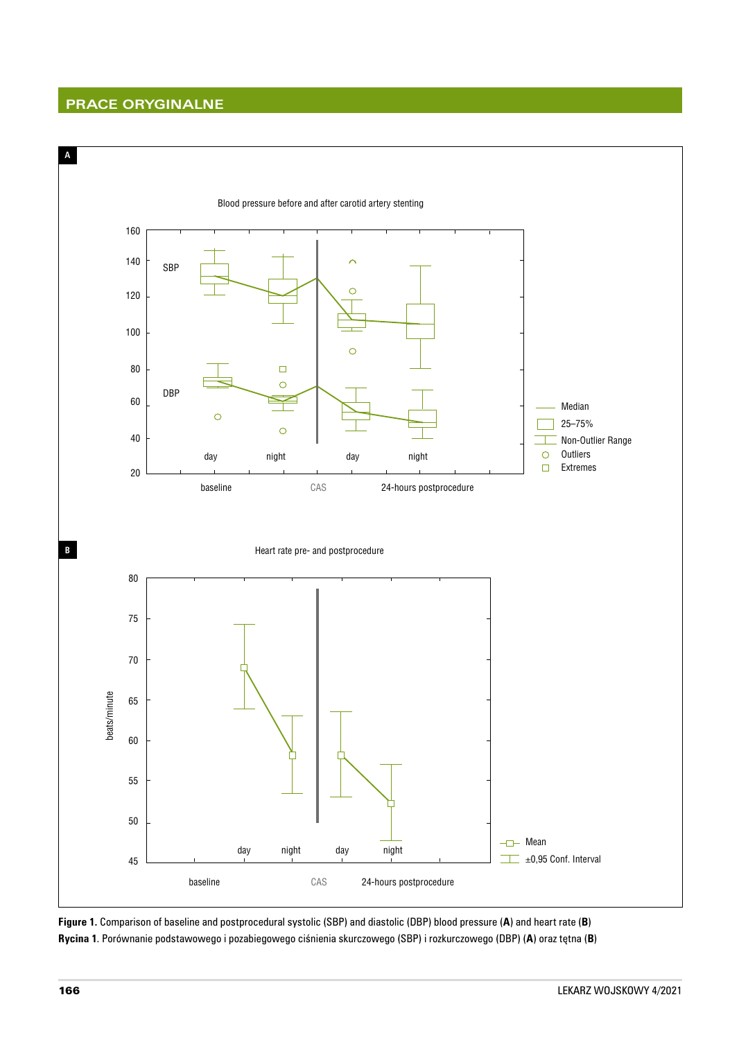

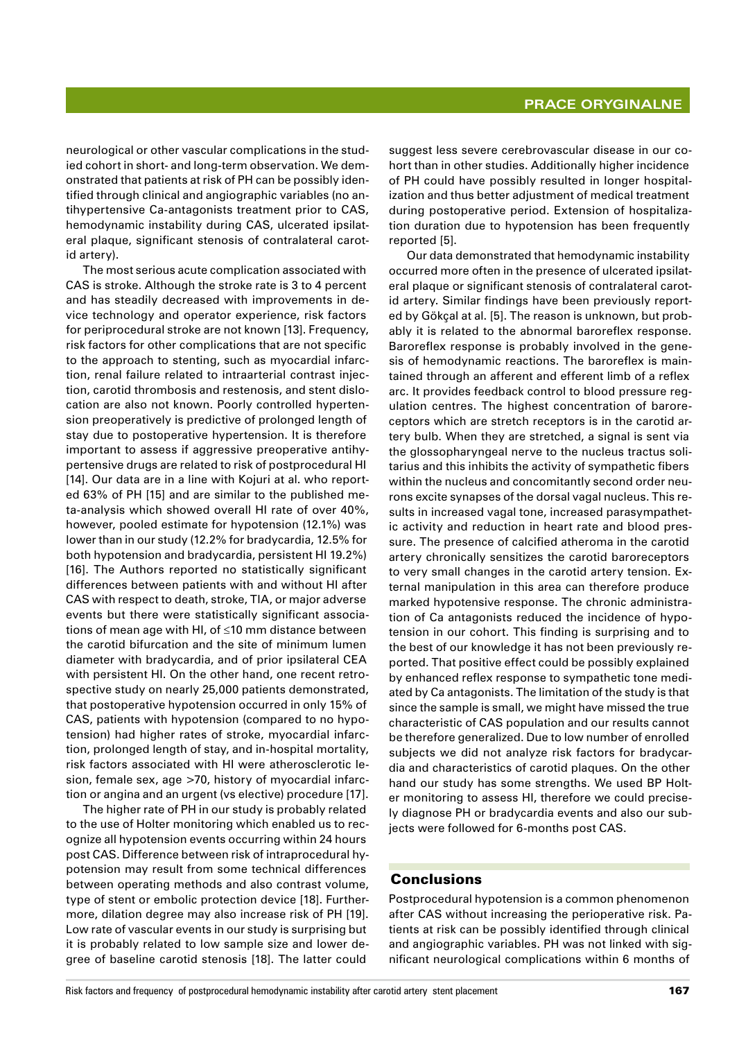neurological or other vascular complications in the studied cohort in short- and long-term observation. We demonstrated that patients at risk of PH can be possibly identified through clinical and angiographic variables (no antihypertensive Ca‑antagonists treatment prior to CAS, hemodynamic instability during CAS, ulcerated ipsilateral plaque, significant stenosis of contralateral carotid artery).

The most serious acute complication associated with CAS is stroke. Although the stroke rate is 3 to 4 percent and has steadily decreased with improvements in device technology and operator experience, risk factors for periprocedural stroke are not known [13]. Frequency, risk factors for other complications that are not specific to the approach to stenting, such as myocardial infarction, renal failure related to intraarterial contrast injection, carotid thrombosis and restenosis, and stent dislocation are also not known. Poorly controlled hypertension preoperatively is predictive of prolonged length of stay due to postoperative hypertension. It is therefore important to assess if aggressive preoperative antihypertensive drugs are related to risk of postprocedural HI [14]. Our data are in a line with Kojuri at al. who reported 63% of PH [15] and are similar to the published meta-analysis which showed overall HI rate of over 40%, however, pooled estimate for hypotension (12.1%) was lower than in our study (12.2% for bradycardia, 12.5% for both hypotension and bradycardia, persistent HI 19.2%) [16]. The Authors reported no statistically significant differences between patients with and without HI after CAS with respect to death, stroke, TIA, or major adverse events but there were statistically significant associations of mean age with HI, of ≤10 mm distance between the carotid bifurcation and the site of minimum lumen diameter with bradycardia, and of prior ipsilateral CEA with persistent HI. On the other hand, one recent retrospective study on nearly 25,000 patients demonstrated, that postoperative hypotension occurred in only 15% of CAS, patients with hypotension (compared to no hypotension) had higher rates of stroke, myocardial infarction, prolonged length of stay, and in‑hospital mortality, risk factors associated with HI were atherosclerotic le‑ sion, female sex, age >70, history of myocardial infarction or angina and an urgent (vs elective) procedure [17].

The higher rate of PH in our study is probably related to the use of Holter monitoring which enabled us to recognize all hypotension events occurring within 24 hours post CAS. Difference between risk of intraprocedural hypotension may result from some technical differences between operating methods and also contrast volume, type of stent or embolic protection device [18]. Furthermore, dilation degree may also increase risk of PH [19]. Low rate of vascular events in our study is surprising but it is probably related to low sample size and lower degree of baseline carotid stenosis [18]. The latter could

suggest less severe cerebrovascular disease in our cohort than in other studies. Additionally higher incidence of PH could have possibly resulted in longer hospitalization and thus better adjustment of medical treatment during postoperative period. Extension of hospitalization duration due to hypotension has been frequently reported [5].

Our data demonstrated that hemodynamic instability occurred more often in the presence of ulcerated ipsilateral plaque or significant stenosis of contralateral carotid artery. Similar findings have been previously reported by Gökçal at al. [5]. The reason is unknown, but probably it is related to the abnormal baroreflex response. Baroreflex response is probably involved in the genesis of hemodynamic reactions. The baroreflex is maintained through an afferent and efferent limb of a reflex arc. It provides feedback control to blood pressure regulation centres. The highest concentration of baroreceptors which are stretch receptors is in the carotid artery bulb. When they are stretched, a signal is sent via the glossopharyngeal nerve to the nucleus tractus solitarius and this inhibits the activity of sympathetic fibers within the nucleus and concomitantly second order neurons excite synapses of the dorsal vagal nucleus. This re‑ sults in increased vagal tone, increased parasympathetic activity and reduction in heart rate and blood pressure. The presence of calcified atheroma in the carotid artery chronically sensitizes the carotid baroreceptors to very small changes in the carotid artery tension. External manipulation in this area can therefore produce marked hypotensive response. The chronic administration of Ca antagonists reduced the incidence of hypotension in our cohort. This finding is surprising and to the best of our knowledge it has not been previously reported. That positive effect could be possibly explained by enhanced reflex response to sympathetic tone mediated by Ca antagonists. The limitation of the study is that since the sample is small, we might have missed the true characteristic of CAS population and our results cannot be therefore generalized. Due to low number of enrolled subjects we did not analyze risk factors for bradycardia and characteristics of carotid plaques. On the other hand our study has some strengths. We used BP Holter monitoring to assess HI, therefore we could precisely diagnose PH or bradycardia events and also our sub‑ jects were followed for 6‑months post CAS.

#### Conclusions

Postprocedural hypotension is a common phenomenon after CAS without increasing the perioperative risk. Patients at risk can be possibly identified through clinical and angiographic variables. PH was not linked with significant neurological complications within 6 months of